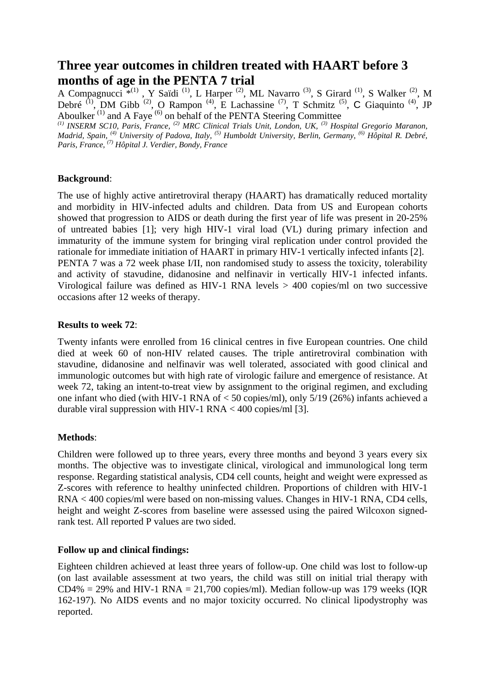# **Three year outcomes in children treated with HAART before 3 months of age in the PENTA 7 trial**

A Compagnucci  $\overline{f}^{(1)}$ , Y Saïdi<sup>(1)</sup>, L Harper<sup>(2)</sup>, ML Navarro<sup>(3)</sup>, S Girard<sup>(1)</sup>, S Walker<sup>(2)</sup>, M Debré  $^{(1)}$ , DM Gibb  $^{(2)}$ , O Rampon  $^{(4)}$ , E Lachassine  $^{(7)}$ , T Schmitz  $^{(5)}$ , C Giaquinto  $^{(4)}$ , JP Aboulker  $^{(1)}$  and A Faye  $^{(6)}$  on behalf of the PENTA Steering Committee

*(1) INSERM SC10, Paris, France, (2) MRC Clinical Trials Unit, London, UK, (3) Hospital Gregorio Maranon, Madrid, Spain, (4) University of Padova, Italy, (5) Humboldt University, Berlin, Germany, (6) Hôpital R. Debré, Paris, France, (7) Hôpital J. Verdier, Bondy, France*

### **Background**:

The use of highly active antiretroviral therapy (HAART) has dramatically reduced mortality and morbidity in HIV-infected adults and children. Data from US and European cohorts showed that progression to AIDS or death during the first year of life was present in 20-25% of untreated babies [1]; very high HIV-1 viral load (VL) during primary infection and immaturity of the immune system for bringing viral replication under control provided the rationale for immediate initiation of HAART in primary HIV-1 vertically infected infants [2]. PENTA 7 was a 72 week phase I/II, non randomised study to assess the toxicity, tolerability and activity of stavudine, didanosine and nelfinavir in vertically HIV-1 infected infants. Virological failure was defined as HIV-1 RNA levels  $>$  400 copies/ml on two successive occasions after 12 weeks of therapy.

#### **Results to week 72**:

Twenty infants were enrolled from 16 clinical centres in five European countries. One child died at week 60 of non-HIV related causes. The triple antiretroviral combination with stavudine, didanosine and nelfinavir was well tolerated, associated with good clinical and immunologic outcomes but with high rate of virologic failure and emergence of resistance. At week 72, taking an intent-to-treat view by assignment to the original regimen, and excluding one infant who died (with HIV-1 RNA of < 50 copies/ml), only 5/19 (26%) infants achieved a durable viral suppression with HIV-1 RNA  $<$  400 copies/ml [3].

### **Methods**:

Children were followed up to three years, every three months and beyond 3 years every six months. The objective was to investigate clinical, virological and immunological long term response. Regarding statistical analysis, CD4 cell counts, height and weight were expressed as Z-scores with reference to healthy uninfected children. Proportions of children with HIV-1 RNA < 400 copies/ml were based on non-missing values. Changes in HIV-1 RNA, CD4 cells, height and weight Z-scores from baseline were assessed using the paired Wilcoxon signedrank test. All reported P values are two sided.

### **Follow up and clinical findings:**

Eighteen children achieved at least three years of follow-up. One child was lost to follow-up (on last available assessment at two years, the child was still on initial trial therapy with CD4% = 29% and HIV-1 RNA = 21,700 copies/ml). Median follow-up was 179 weeks (IQR 162-197). No AIDS events and no major toxicity occurred. No clinical lipodystrophy was reported.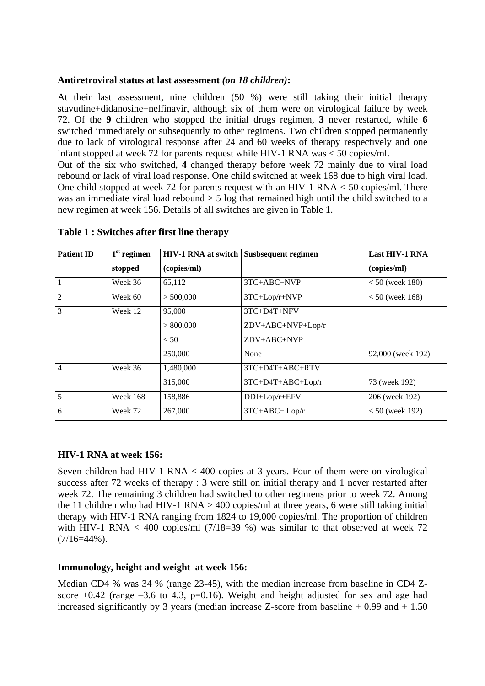### **Antiretroviral status at last assessment** *(on 18 children)***:**

At their last assessment, nine children (50 %) were still taking their initial therapy stavudine+didanosine+nelfinavir, although six of them were on virological failure by week 72. Of the **9** children who stopped the initial drugs regimen, **3** never restarted, while **6** switched immediately or subsequently to other regimens. Two children stopped permanently due to lack of virological response after 24 and 60 weeks of therapy respectively and one infant stopped at week 72 for parents request while HIV-1 RNA was < 50 copies/ml.

Out of the six who switched, **4** changed therapy before week 72 mainly due to viral load rebound or lack of viral load response. One child switched at week 168 due to high viral load. One child stopped at week 72 for parents request with an HIV-1 RNA < 50 copies/ml. There was an immediate viral load rebound > 5 log that remained high until the child switched to a new regimen at week 156. Details of all switches are given in Table 1.

| <b>Patient ID</b> | $1st$ regimen   | <b>HIV-1 RNA at switch</b> | Susbsequent regimen | <b>Last HIV-1 RNA</b> |
|-------------------|-----------------|----------------------------|---------------------|-----------------------|
|                   | stopped         | (copies/ml)                |                     | (copies/ml)           |
| $\mathbf{1}$      | Week 36         | 65,112                     | $3TC+ABC+NVP$       | $< 50$ (week 180)     |
| $\overline{2}$    | Week 60         | > 500,000                  | 3TC+Lop/r+NVP       | $< 50$ (week 168)     |
| 3                 | Week 12         | 95,000                     | $3TC+D4T+NFV$       |                       |
|                   |                 | > 800,000                  | ZDV+ABC+NVP+Lop/r   |                       |
|                   |                 | < 50                       | ZDV+ABC+NVP         |                       |
|                   |                 | 250,000                    | None                | 92,000 (week 192)     |
| $\overline{4}$    | Week 36         | 1,480,000                  | $3TC+D4T+ABC+RTV$   |                       |
|                   |                 | 315,000                    | $3TC+D4T+ABC+Lop/r$ | 73 (week 192)         |
| $\overline{5}$    | <b>Week 168</b> | 158,886                    | DDI+Lop/r+EFV       | 206 (week 192)        |
| 6                 | Week 72         | 267,000                    | $3TC+ABC+Lop/r$     | $< 50$ (week 192)     |

**Table 1 : Switches after first line therapy**

### **HIV-1 RNA at week 156:**

Seven children had HIV-1 RNA < 400 copies at 3 years. Four of them were on virological success after 72 weeks of therapy : 3 were still on initial therapy and 1 never restarted after week 72. The remaining 3 children had switched to other regimens prior to week 72. Among the 11 children who had HIV-1 RNA  $>$  400 copies/ml at three years, 6 were still taking initial therapy with HIV-1 RNA ranging from 1824 to 19,000 copies/ml. The proportion of children with HIV-1 RNA  $<$  400 copies/ml (7/18=39 %) was similar to that observed at week 72  $(7/16=44\%)$ .

### **Immunology, height and weight at week 156:**

Median CD4 % was 34 % (range 23-45), with the median increase from baseline in CD4 Zscore  $+0.42$  (range  $-3.6$  to 4.3, p=0.16). Weight and height adjusted for sex and age had increased significantly by 3 years (median increase Z-score from baseline  $+0.99$  and  $+1.50$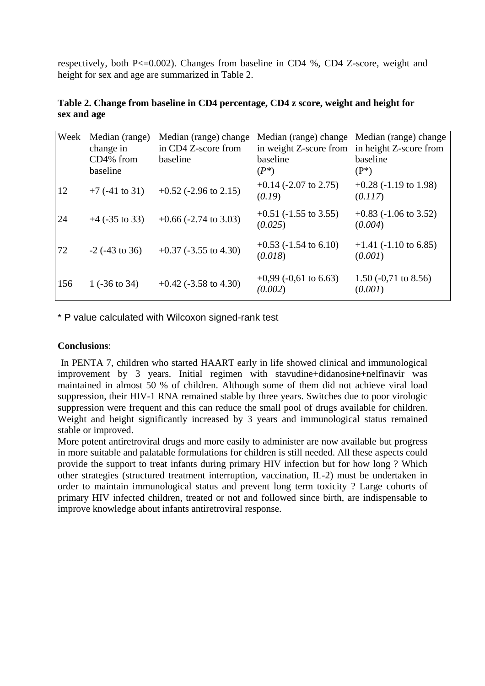respectively, both P<=0.002). Changes from baseline in CD4 %, CD4 Z-score, weight and height for sex and age are summarized in Table 2.

|             | Table 2. Change from baseline in CD4 percentage, CD4 z score, weight and height for |  |  |
|-------------|-------------------------------------------------------------------------------------|--|--|
| sex and age |                                                                                     |  |  |

| Week | Median (range)<br>change in<br>CD4% from<br>baseline | Median (range) change<br>in CD4 Z-score from<br>baseline | Median (range) change<br>in weight Z-score from<br>baseline<br>$(P^*)$ | Median (range) change<br>in height Z-score from<br>baseline<br>$(P^*)$ |
|------|------------------------------------------------------|----------------------------------------------------------|------------------------------------------------------------------------|------------------------------------------------------------------------|
| 12   | $+7$ (-41 to 31)                                     | $+0.52$ (-2.96 to 2.15)                                  | $+0.14$ (-2.07 to 2.75)<br>(0.19)                                      | $+0.28$ (-1.19 to 1.98)<br>(0.117)                                     |
| 24   | $+4$ (-35 to 33)                                     | $+0.66$ (-2.74 to 3.03)                                  | $+0.51$ (-1.55 to 3.55)<br>(0.025)                                     | $+0.83$ (-1.06 to 3.52)<br>(0.004)                                     |
| 72   | $-2$ ( $-43$ to 36)                                  | $+0.37$ (-3.55 to 4.30)                                  | $+0.53$ (-1.54 to 6.10)<br>(0.018)                                     | $+1.41$ (-1.10 to 6.85)<br>(0.001)                                     |
| 156  | 1 $(-36 \text{ to } 34)$                             | $+0.42$ (-3.58 to 4.30)                                  | $+0.99$ (-0.61 to 6.63)<br>(0.002)                                     | $1.50(-0.71)$ to 8.56)<br>(0.001)                                      |

\* P value calculated with Wilcoxon signed-rank test

### **Conclusions**:

 In PENTA 7, children who started HAART early in life showed clinical and immunological improvement by 3 years. Initial regimen with stavudine+didanosine+nelfinavir was maintained in almost 50 % of children. Although some of them did not achieve viral load suppression, their HIV-1 RNA remained stable by three years. Switches due to poor virologic suppression were frequent and this can reduce the small pool of drugs available for children. Weight and height significantly increased by 3 years and immunological status remained stable or improved.

More potent antiretroviral drugs and more easily to administer are now available but progress in more suitable and palatable formulations for children is still needed. All these aspects could provide the support to treat infants during primary HIV infection but for how long ? Which other strategies (structured treatment interruption, vaccination, IL-2) must be undertaken in order to maintain immunological status and prevent long term toxicity ? Large cohorts of primary HIV infected children, treated or not and followed since birth, are indispensable to improve knowledge about infants antiretroviral response.